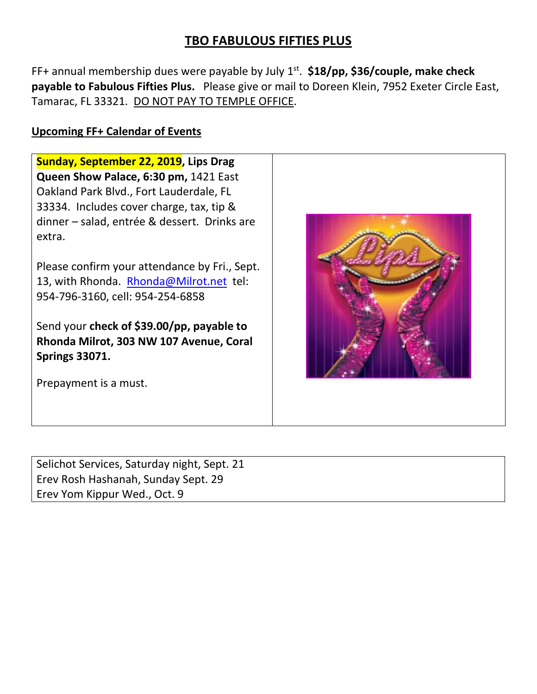## **TBO FABULOUS FIFTIES PLUS**

FF+ annual membership dues were payable by July 1<sup>st</sup>. \$18/pp, \$36/couple, make check **payable to Fabulous Fifties Plus.** Please give or mail to Doreen Klein, 7952 Exeter Circle East, Tamarac, FL 33321. DO NOT PAY TO TEMPLE OFFICE.

#### **Upcoming FF+ Calendar of Events**

**Sunday, September 22, 2019, Lips Drag Queen Show Palace, 6:30 pm,** 1421 East Oakland Park Blvd., Fort Lauderdale, FL 33334. Includes cover charge, tax, tip & dinner – salad, entrée & dessert. Drinks are extra. Please confirm your attendance by Fri., Sept. 13, with Rhonda. [Rhonda@Milrot.net](mailto:Rhonda@Milrot.net) tel: 954-796-3160, cell: 954-254-6858 Send your **check of \$39.00/pp, payable to Rhonda Milrot, 303 NW 107 Avenue, Coral Springs 33071.** Prepayment is a must.

Selichot Services, Saturday night, Sept. 21 Erev Rosh Hashanah, Sunday Sept. 29 Erev Yom Kippur Wed., Oct. 9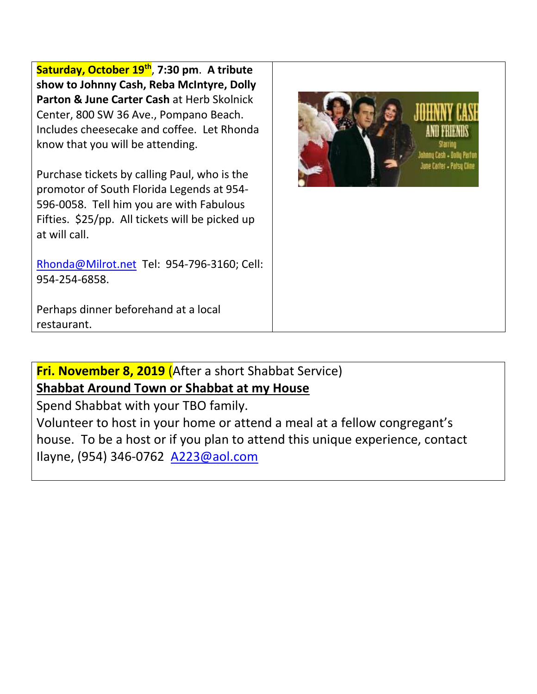**Saturday, October 19th** , **7:30 pm**. **A tribute show to Johnny Cash, Reba McIntyre, Dolly Parton & June Carter Cash** at Herb Skolnick Center, 800 SW 36 Ave., Pompano Beach. Includes cheesecake and coffee. Let Rhonda know that you will be attending.

Purchase tickets by calling Paul, who is the promotor of South Florida Legends at 954- 596-0058. Tell him you are with Fabulous Fifties. \$25/pp. All tickets will be picked up at will call.

[Rhonda@Milrot.net](mailto:Rhonda@Milrot.net) Tel: 954-796-3160; Cell: 954-254-6858.



Perhaps dinner beforehand at a local restaurant.

**Fri. November 8, 2019** (After a short Shabbat Service)

# **Shabbat Around Town or Shabbat at my House**

Spend Shabbat with your TBO family.

Volunteer to host in your home or attend a meal at a fellow congregant's house. To be a host or if you plan to attend this unique experience, contact Ilayne, (954) 346-0762 [A223@aol.com](mailto:A223@aol.com)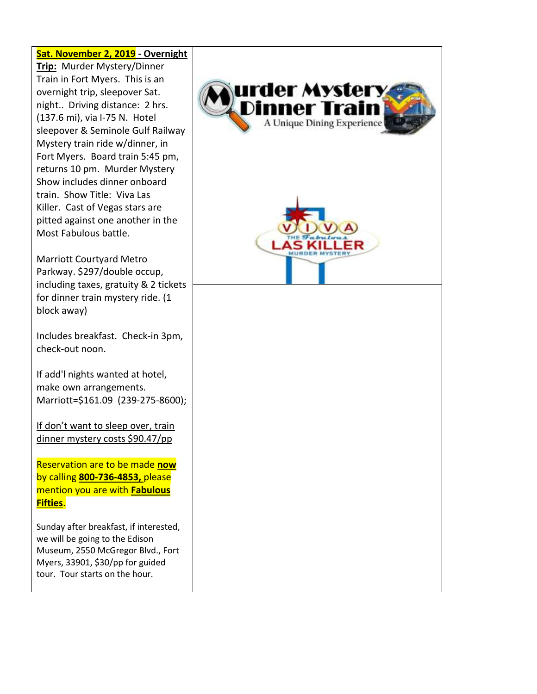### **Sat. November 2, 2019 - Overnight Trip:** Murder Mystery/Dinner Train in Fort Myers. This is an urder Mystery overnight trip, sleepover Sat. night.. Driving distance: 2 hrs. Dinner Trai (137.6 mi), via I-75 N. Hotel A Unique Dining Experience sleepover & Seminole Gulf Railway Mystery train ride w/dinner, in Fort Myers. Board train 5:45 pm, returns 10 pm. Murder Mystery Show includes dinner onboard train. Show Title: Viva Las Killer. Cast of Vegas stars are pitted against one another in the Most Fabulous battle. Marriott Courtyard Metro Parkway. \$297/double occup, including taxes, gratuity & 2 tickets for dinner train mystery ride. (1 block away) Includes breakfast. Check-in 3pm, check-out noon. If add'l nights wanted at hotel, make own arrangements. Marriott=\$161.09 (239-275-8600); If don't want to sleep over, train dinner mystery costs \$90.47/pp Reservation are to be made **now** by calling **800-736-4853,** please mention you are with **Fabulous Fifties**. Sunday after breakfast, if interested, we will be going to the Edison Museum, 2550 McGregor Blvd., Fort Myers, 33901, \$30/pp for guided tour. Tour starts on the hour.